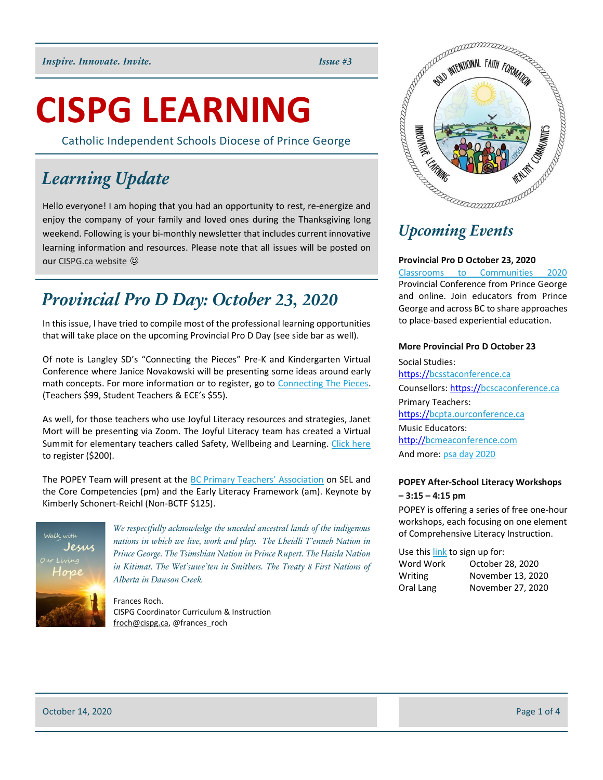# **CISPG LEARNING**

Catholic Independent Schools Diocese of Prince George

## *Learning Update*

Hello everyone! I am hoping that you had an opportunity to rest, re-energize and enjoy the company of your family and loved ones during the Thanksgiving long weekend. Following is your bi-monthly newsletter that includes current innovative learning information and resources. Please note that all issues will be posted on ou[r CISPG.ca website](http://cispg.ca/staff-intranet/curriculum-and-instruction/)

## *Provincial Pro D Day: October 23, 2020*

In this issue, I have tried to compile most of the professional learning opportunities that will take place on the upcoming Provincial Pro D Day (see side bar as well).

Of note is Langley SD's "Connecting the Pieces" Pre-K and Kindergarten Virtual Conference where Janice Novakowski will be presenting some ideas around early math concepts. For more information or to register, go to [Connecting The Pieces.](http://connect20.thinklangley.com/) (Teachers \$99, Student Teachers & ECE's \$55).

As well, for those teachers who use Joyful Literacy resources and strategies, Janet Mort will be presenting via Zoom. The Joyful Literacy team has created a Virtual Summit for elementary teachers called Safety, Wellbeing and Learning. [Click here](https://www.joyfulliteracyonline.com/summit-october-2020) to register (\$200).

The POPEY Team will present at the [BC Primary Teachers' Association](https://bcpta.ourconference.ca/) on SEL and the Core Competencies (pm) and the Early Literacy Framework (am). Keynote by Kimberly Schonert-Reichl (Non-BCTF \$125).



*We respectfully acknowledge the unceded ancestral lands of the indigenous nations in which we live, work and play. The Lheidli T'enneh Nation in Prince George. The Tsimshian Nation in Prince Rupert. The Haisla Nation in Kitimat. The Wet'suwe'ten in Smithers. The Treaty 8 First Nations of Alberta in Dawson Creek.*

Frances Roch. CISPG Coordinator Curriculum & Instruction [froch@cispg.ca,](mailto:froch@cispg.ca) @frances\_roch



## *Upcoming Events*

### **Provincial Pro D October 23, 2020**

[Classrooms to Communities 2020](https://c2c-bc.org/conference/) Provincial Conference from Prince George and online. Join educators from Prince George and across BC to share approaches to place-based experiential education.

### **More Provincial Pro D October 23**

Social Studies: [https://bcsstaconference.ca](https://t.co/3pFYQAVqGq?amp=1) Counsellors: [https://bcscaconference.ca](https://t.co/CPILZyEVA2?amp=1) Primary Teachers: [https://bcpta.ourconference.ca](https://t.co/Y284A32PmC?amp=1) Music Educators: [http://bcmeaconference.com](https://t.co/UJSy1EGyWr?amp=1) And more: [psa day 2020](https://psaday.ca/)

### **POPEY After-School Literacy Workshops – 3:15 – 4:15 pm**

POPEY is offering a series of free one-hour workshops, each focusing on one element of Comprehensive Literacy Instruction.

Use thi[s link](https://popey.ca/news/2020/09/fall-online-workshop-series) to sign up for:

| Word Work | October 28, 2020  |
|-----------|-------------------|
| Writing   | November 13, 2020 |
| Oral Lang | November 27, 2020 |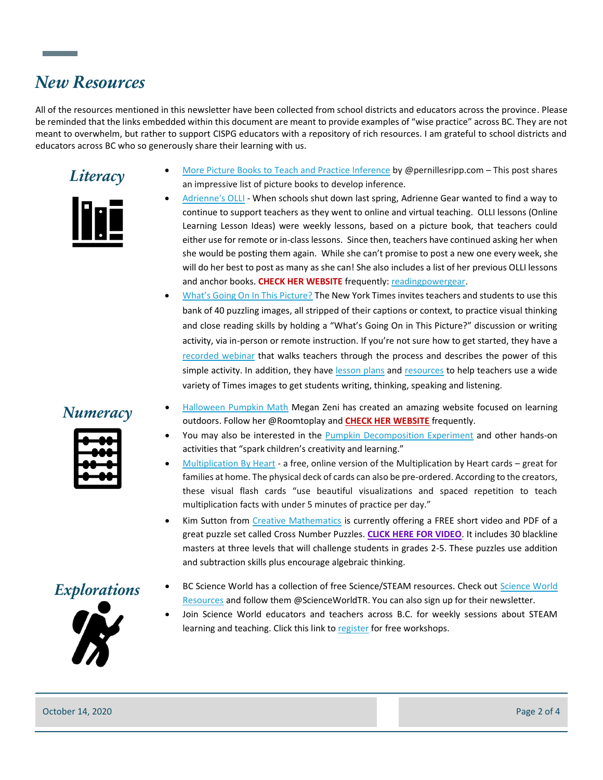## *New Resources*

All of the resources mentioned in this newsletter have been collected from school districts and educators across the province. Please be reminded that the links embedded within this document are meant to provide examples of "wise practice" across BC. They are not meant to overwhelm, but rather to support CISPG educators with a repository of rich resources. I am grateful to school districts and educators across BC who so generously share their learning with us.



- **Literacy** [More Picture Books to Teach and Practice Inference](https://pernillesripp.com/2020/10/06/more-picture-books-to-teach-and-practice-inference/) by @pernillesripp.com This post shares an impressive list of picture books to develop inference.
	- [Adrienne's OLLI](https://readingpowergear.wordpress.com/2020/10/12/adriennes-olli-online-learning-lesson-idea-11-if-you-come-to-earth/) When schools shut down last spring, Adrienne Gear wanted to find a way to continue to support teachers as they went to online and virtual teaching. OLLI lessons (Online Learning Lesson Ideas) were weekly lessons, based on a picture book, that teachers could either use for remote or in-class lessons. Since then, teachers have continued asking her when she would be posting them again. While she can't promise to post a new one every week, she will do her best to post as many as she can! She also includes a list of her previous OLLI lessons and anchor books. **CHECK HER WEBSITE** frequently: [readingpowergear.](https://readingpowergear.wordpress.com/2020/10/12/adriennes-olli-online-learning-lesson-idea-11-if-you-come-to-earth/)
	- [What's Going On In This Picture?](https://www.nytimes.com/2020/10/01/learning/40-more-intriguing-photos-to-make-students-think.html?smid=tw-share) The New York Times invites teachers and students to use this bank of 40 puzzling images, all stripped of their captions or context, to practice visual thinking and close reading skills by holding a "What's Going On in This Picture?" discussion or writing activity, via in-person or remote instruction. If you're not sure how to get started, they have a [recorded webinar](https://www.nytimes.com/2019/09/12/learning/sign-up-for-our-free-webinar-on-teaching-with-intriguing-photographs.html) that walks teachers through the process and describes the power of this simple activity. In addition, they have [lesson plans](https://learning.blogs.nytimes.com/2016/09/07/how-to-teach-with-our-picture-prompts-and-other-times-images/) and [resources](https://www.nytimes.com/column/learning-picture-prompt) to help teachers use a wide variety of Times images to get students writing, thinking, speaking and listening.



- **Numeracy** [Halloween Pumpkin Math](https://meganzeni.com/pumpkin-math/) Megan Zeni has created an amazing website focused on learning<br> **Numeracy** Halloween Fillow has Obsented by and **GUEOK UFD WEDGUE** focused to learning outdoors. Follow her @Roomtoplay and **[CHECK HER WEBSITE](https://meganzeni.com/)** frequently.
	- You may also be interested in the [Pumpkin Decomposition Experiment](https://www.giftofcuriosity.com/easy-fall-science-pumpkin-decomposition-experiment/) and other hands-on activities that "spark children's creativity and learning."
	- [Multiplication By Heart](https://mailchi.mp/mathforlove/regular-old-multiplication-flash-cards-theres-a-better-free-way) a free, online version of the Multiplication by Heart cards great for families at home. The physical deck of cards can also be pre-ordered. According to the creators, these visual flash cards "use beautiful visualizations and spaced repetition to teach multiplication facts with under 5 minutes of practice per day."
	- Kim Sutton from [Creative Mathematics](https://creativemathematics.com/) is currently offering a FREE short video and PDF of a great puzzle set called Cross Number Puzzles. **[CLICK HERE FOR VIDEO](http://r20.rs6.net/tn.jsp?f=001D_4OB_1eNf746Jx4wJMb1mRaMnr-EbNzdnuD0w4I2-_6r0Kch-u7NknbcY5QV_fGuFG7YLr9yjwo6pFY4pfbMr4Y7hvSOijALSqsrDmzO4gFDUOIuokSCm60nuDVqexW_gkc6mRby2dfVrGCftqtjQM3Q-r_Qqb7UwVw9nGW1SdemVIYxJm-2sBao5SbRBuEZyhFPCbdx-7-SyLpyU2NSgCkTsOaanvjZ0V9Yi6qbEkz6It1Bs4S0OwEg6MtVWlhRxNLCbr1BP8yd3xh1N_QMw==&c=Vd7zIVVm43KHmx9wbviH-6VYtRyy6wxoA6u47FRV3-jk7T91MIsLgg==&ch=qWOtJWfTg9BoYc86sr1gCia8HNGzJ1xf-vKBpvwW7vC3RJKZOu3EYw==)**. It includes 30 blackline masters at three levels that will challenge students in grades 2-5. These puzzles use addition and subtraction skills plus encourage algebraic thinking.



- **Explorations** BC [Science World](https://www.scienceworld.ca/resources/) has a collection of free Science/STEAM resources. Check out **Science World** [Resources](https://www.scienceworld.ca/resources/) and follow them @ScienceWorldTR. You can also sign up for their newsletter.
	- Join Science World educators and teachers across B.C. for weekly sessions about STEAM learning and teaching. Click this link t[o register](https://www.eventbrite.ca/e/code-along-microbit-registration-120308673481) for free workshops.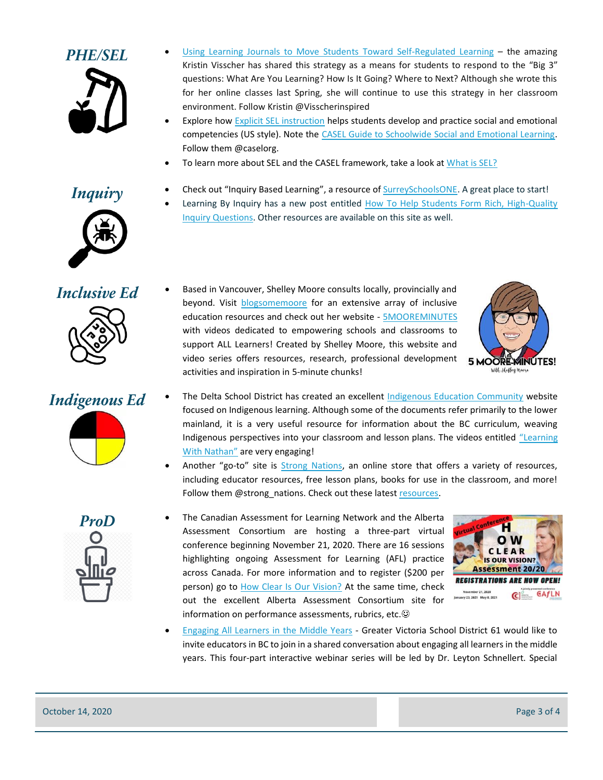

- PHE/SEL [Using Learning Journals to Move Students Toward Self-Regulated Learning](https://docs.google.com/document/d/14enCb2O9o_CDfBsQJHiRw6mPBCsWUA0CPu-QQZhjMFw/edit) the amazing Kristin Visscher has shared this strategy as a means for students to respond to the "Big 3" questions: What Are You Learning? How Is It Going? Where to Next? Although she wrote this for her online classes last Spring, she will continue to use this strategy in her classroom environment. Follow Kristin @Visscherinspired
	- Explore ho[w Explicit SEL instruction](https://www.pbslearningmedia.org/resource/explicit-social-emotional-instruction/social-emotional-learning-video/) helps students develop and practice social and emotional competencies (US style). Note the [CASEL Guide to Schoolwide Social and Emotional Learning.](https://schoolguide.casel.org/) Follow them @caselorg.

Learning By Inquiry has a new post entitled How To Help Students Form Rich, High-Quality

To learn more about SEL and the CASEL framework, take a look a[t What is SEL?](https://casel.org/what-is-sel/)

[Inquiry Questions.](https://www.learningbyinquiry.com/how-to-help-students-form-rich-high-quality-inquiry-questions/) Other resources are available on this site as well.

### *Inquiry* • Check out "Inquiry Based Learning", a resource of **SurreySchoolsONE**. A great place to start!





- -

*Inclusive Ed* • Based in Vancouver, Shelley Moore consults locally, provincially and beyond. Visit [blogsomemoore](https://blogsomemoore.com/about/970-2/) for an extensive array of inclusive education resources and check out her website - [5MOOREMINUTES](https://fivemooreminutes.com/about/) with videos dedicated to empowering schools and classrooms to support ALL Learners! Created by Shelley Moore, this website and video series offers resources, research, professional development activities and inspiration in 5-minute chunks!



- *Indigenous Ed* The Delta School District has created an excellent **Indigenous Education Community** website focused on Indigenous learning. Although some of the documents refer primarily to the lower mainland, it is a very useful resource for information about the BC curriculum, weaving Indigenous perspectives into your classroom and lesson plans. The videos entitled "Learning [With Nath](https://deltalearns.ca/indigenouseducation/learning-with-nathan/)an" are very engaging!
	- Another "go-to" site is [Strong Nations,](https://www.strongnations.com/store/item_display.php?i=7344&f=) an online store that offers a variety of resources, including educator resources, free lesson plans, books for use in the classroom, and more! Follow them @strong\_nations. Check out these lates[t resources.](https://mail.google.com/mail/u/0/?tab=wm&ogbl#inbox/FMfcgxwKhqkRGZPTSjVbGMnhHTPXbDnF)
	- **ProD** The Canadian Assessment for Learning Network and the Alberta Assessment Consortium are hosting a three-part virtual conference beginning November 21, 2020. There are 16 sessions highlighting ongoing Assessment for Learning (AFL) practice across Canada. For more information and to register (\$200 per person) go to [How Clear Is Our Vision?](https://aac.ab.ca/events-and-workshops/assessment-20-20-how-clear-is-our-vision/) At the same time, check out the excellent Alberta Assessment Consortium site for information on performance assessments, rubrics, etc. $\odot$



• [Engaging All Learners in the Middle Years](https://learn.sd61.bc.ca/news-events/webinars/) - Greater Victoria School District 61 would like to invite educators in BC to join in a shared conversation about engaging all learners in the middle years. This four-part interactive webinar series will be led by Dr. Leyton Schnellert. Special